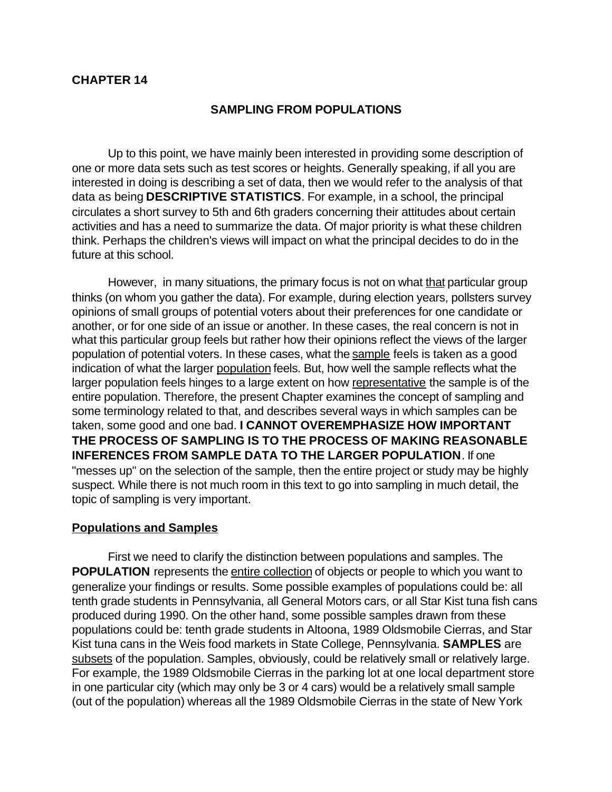### **CHAPTER 14**

#### **SAMPLING FROM POPULATIONS**

Up to this point, we have mainly been interested in providing some description of one or more data sets such as test scores or heights. Generally speaking, if all you are interested in doing is describing a set of data, then we would refer to the analysis of that data as being **DESCRIPTIVE STATISTICS**. For example, in a school, the principal circulates a short survey to 5th and 6th graders concerning their attitudes about certain activities and has a need to summarize the data. Of major priority is what these children think. Perhaps the children's views will impact on what the principal decides to do in the future at this school.

However, in many situations, the primary focus is not on what that particular group thinks (on whom you gather the data). For example, during election years, pollsters survey opinions of small groups of potential voters about their preferences for one candidate or another, or for one side of an issue or another. In these cases, the real concern is not in what this particular group feels but rather how their opinions reflect the views of the larger population of potential voters. In these cases, what the sample feels is taken as a good indication of what the larger population feels. But, how well the sample reflects what the larger population feels hinges to a large extent on how representative the sample is of the entire population. Therefore, the present Chapter examines the concept of sampling and some terminology related to that, and describes several ways in which samples can be taken, some good and one bad. **I CANNOT OVEREMPHASIZE HOW IMPORTANT THE PROCESS OF SAMPLING IS TO THE PROCESS OF MAKING REASONABLE INFERENCES FROM SAMPLE DATA TO THE LARGER POPULATION**. If one "messes up" on the selection of the sample, then the entire project or study may be highly suspect. While there is not much room in this text to go into sampling in much detail, the topic of sampling is very important.

#### **Populations and Samples**

First we need to clarify the distinction between populations and samples. The **POPULATION** represents the *entire collection* of objects or people to which you want to generalize your findings or results. Some possible examples of populations could be: all tenth grade students in Pennsylvania, all General Motors cars, or all Star Kist tuna fish cans produced during 1990. On the other hand, some possible samples drawn from these populations could be: tenth grade students in Altoona, 1989 Oldsmobile Cierras, and Star Kist tuna cans in the Weis food markets in State College, Pennsylvania. **SAMPLES** are subsets of the population. Samples, obviously, could be relatively small or relatively large. For example, the 1989 Oldsmobile Cierras in the parking lot at one local department store in one particular city (which may only be 3 or 4 cars) would be a relatively small sample (out of the population) whereas all the 1989 Oldsmobile Cierras in the state of New York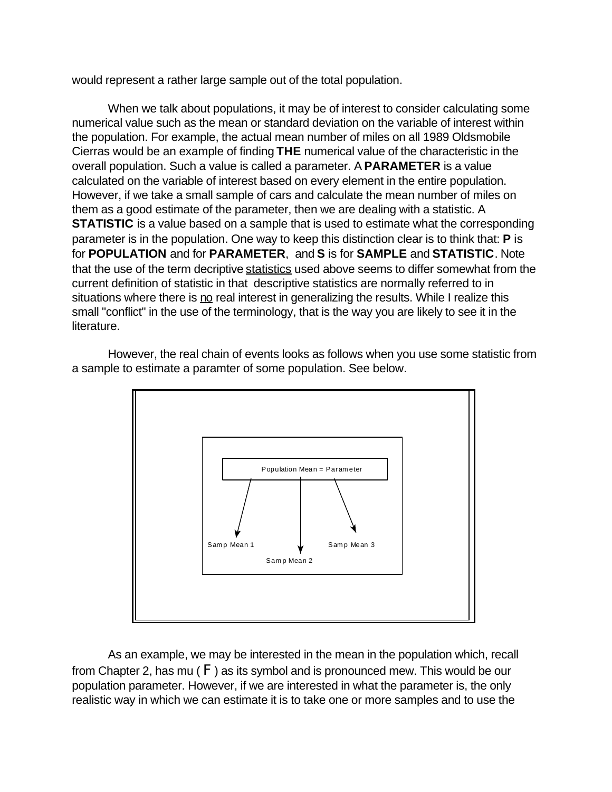would represent a rather large sample out of the total population.

When we talk about populations, it may be of interest to consider calculating some numerical value such as the mean or standard deviation on the variable of interest within the population. For example, the actual mean number of miles on all 1989 Oldsmobile Cierras would be an example of finding **THE** numerical value of the characteristic in the overall population. Such a value is called a parameter. A **PARAMETER** is a value calculated on the variable of interest based on every element in the entire population. However, if we take a small sample of cars and calculate the mean number of miles on them as a good estimate of the parameter, then we are dealing with a statistic. A **STATISTIC** is a value based on a sample that is used to estimate what the corresponding parameter is in the population. One way to keep this distinction clear is to think that: **P** is for **POPULATION** and for **PARAMETER**, and **S** is for **SAMPLE** and **STATISTIC**. Note that the use of the term decriptive statistics used above seems to differ somewhat from the current definition of statistic in that descriptive statistics are normally referred to in situations where there is no real interest in generalizing the results. While I realize this small "conflict" in the use of the terminology, that is the way you are likely to see it in the literature.

However, the real chain of events looks as follows when you use some statistic from a sample to estimate a paramter of some population. See below.



As an example, we may be interested in the mean in the population which, recall from Chapter 2, has mu ( $F$ ) as its symbol and is pronounced mew. This would be our population parameter. However, if we are interested in what the parameter is, the only realistic way in which we can estimate it is to take one or more samples and to use the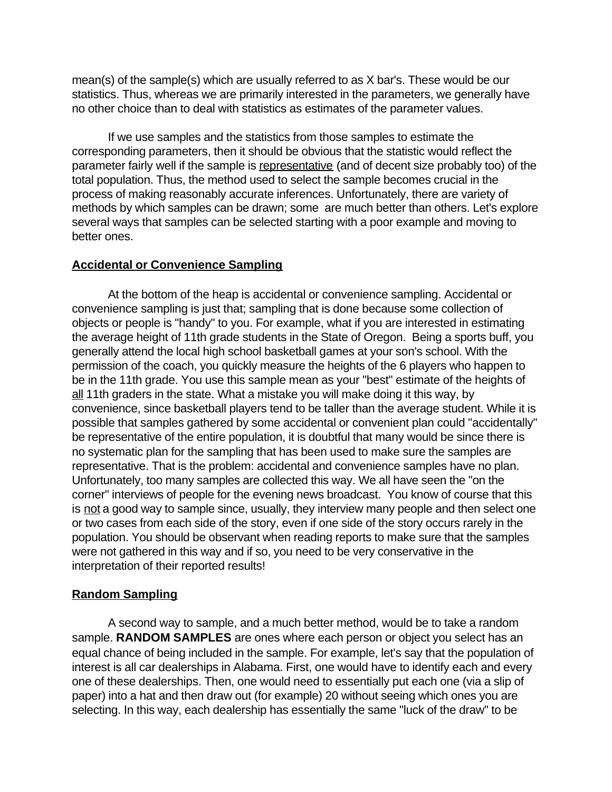mean(s) of the sample(s) which are usually referred to as X bar's. These would be our statistics. Thus, whereas we are primarily interested in the parameters, we generally have no other choice than to deal with statistics as estimates of the parameter values.

If we use samples and the statistics from those samples to estimate the corresponding parameters, then it should be obvious that the statistic would reflect the parameter fairly well if the sample is representative (and of decent size probably too) of the total population. Thus, the method used to select the sample becomes crucial in the process of making reasonably accurate inferences. Unfortunately, there are variety of methods by which samples can be drawn; some are much better than others. Let's explore several ways that samples can be selected starting with a poor example and moving to better ones.

#### **Accidental or Convenience Sampling**

At the bottom of the heap is accidental or convenience sampling. Accidental or convenience sampling is just that; sampling that is done because some collection of objects or people is "handy" to you. For example, what if you are interested in estimating the average height of 11th grade students in the State of Oregon. Being a sports buff, you generally attend the local high school basketball games at your son's school. With the permission of the coach, you quickly measure the heights of the 6 players who happen to be in the 11th grade. You use this sample mean as your "best" estimate of the heights of all 11th graders in the state. What a mistake you will make doing it this way, by convenience, since basketball players tend to be taller than the average student. While it is possible that samples gathered by some accidental or convenient plan could "accidentally" be representative of the entire population, it is doubtful that many would be since there is no systematic plan for the sampling that has been used to make sure the samples are representative. That is the problem: accidental and convenience samples have no plan. Unfortunately, too many samples are collected this way. We all have seen the "on the corner" interviews of people for the evening news broadcast. You know of course that this is not a good way to sample since, usually, they interview many people and then select one or two cases from each side of the story, even if one side of the story occurs rarely in the population. You should be observant when reading reports to make sure that the samples were not gathered in this way and if so, you need to be very conservative in the interpretation of their reported results!

### **Random Sampling**

A second way to sample, and a much better method, would be to take a random sample. **RANDOM SAMPLES** are ones where each person or object you select has an equal chance of being included in the sample. For example, let's say that the population of interest is all car dealerships in Alabama. First, one would have to identify each and every one of these dealerships. Then, one would need to essentially put each one (via a slip of paper) into a hat and then draw out (for example) 20 without seeing which ones you are selecting. In this way, each dealership has essentially the same "luck of the draw" to be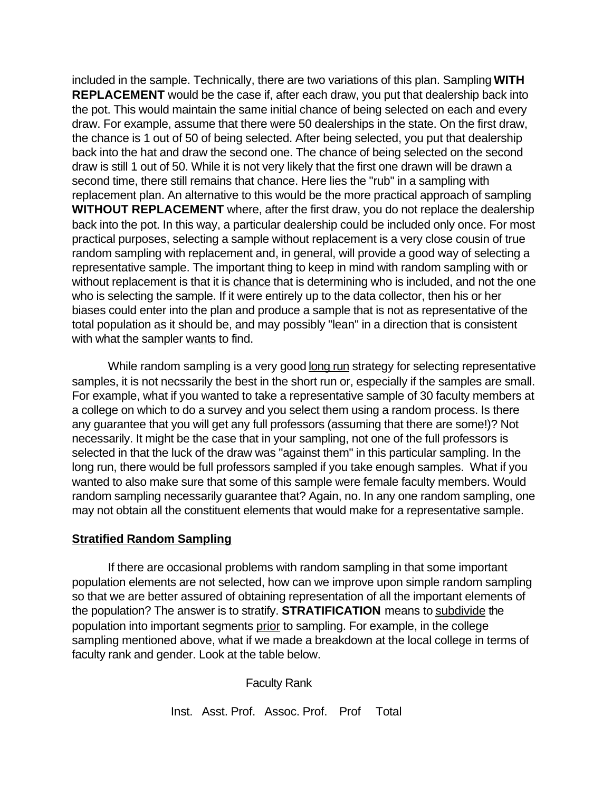included in the sample. Technically, there are two variations of this plan. Sampling **WITH REPLACEMENT** would be the case if, after each draw, you put that dealership back into the pot. This would maintain the same initial chance of being selected on each and every draw. For example, assume that there were 50 dealerships in the state. On the first draw, the chance is 1 out of 50 of being selected. After being selected, you put that dealership back into the hat and draw the second one. The chance of being selected on the second draw is still 1 out of 50. While it is not very likely that the first one drawn will be drawn a second time, there still remains that chance. Here lies the "rub" in a sampling with replacement plan. An alternative to this would be the more practical approach of sampling **WITHOUT REPLACEMENT** where, after the first draw, you do not replace the dealership back into the pot. In this way, a particular dealership could be included only once. For most practical purposes, selecting a sample without replacement is a very close cousin of true random sampling with replacement and, in general, will provide a good way of selecting a representative sample. The important thing to keep in mind with random sampling with or without replacement is that it is chance that is determining who is included, and not the one who is selecting the sample. If it were entirely up to the data collector, then his or her biases could enter into the plan and produce a sample that is not as representative of the total population as it should be, and may possibly "lean" in a direction that is consistent with what the sampler wants to find.

While random sampling is a very good long run strategy for selecting representative samples, it is not necssarily the best in the short run or, especially if the samples are small. For example, what if you wanted to take a representative sample of 30 faculty members at a college on which to do a survey and you select them using a random process. Is there any guarantee that you will get any full professors (assuming that there are some!)? Not necessarily. It might be the case that in your sampling, not one of the full professors is selected in that the luck of the draw was "against them" in this particular sampling. In the long run, there would be full professors sampled if you take enough samples. What if you wanted to also make sure that some of this sample were female faculty members. Would random sampling necessarily guarantee that? Again, no. In any one random sampling, one may not obtain all the constituent elements that would make for a representative sample.

### **Stratified Random Sampling**

If there are occasional problems with random sampling in that some important population elements are not selected, how can we improve upon simple random sampling so that we are better assured of obtaining representation of all the important elements of the population? The answer is to stratify. **STRATIFICATION** means to subdivide the population into important segments prior to sampling. For example, in the college sampling mentioned above, what if we made a breakdown at the local college in terms of faculty rank and gender. Look at the table below.

Faculty Rank

Inst. Asst. Prof. Assoc. Prof. Prof Total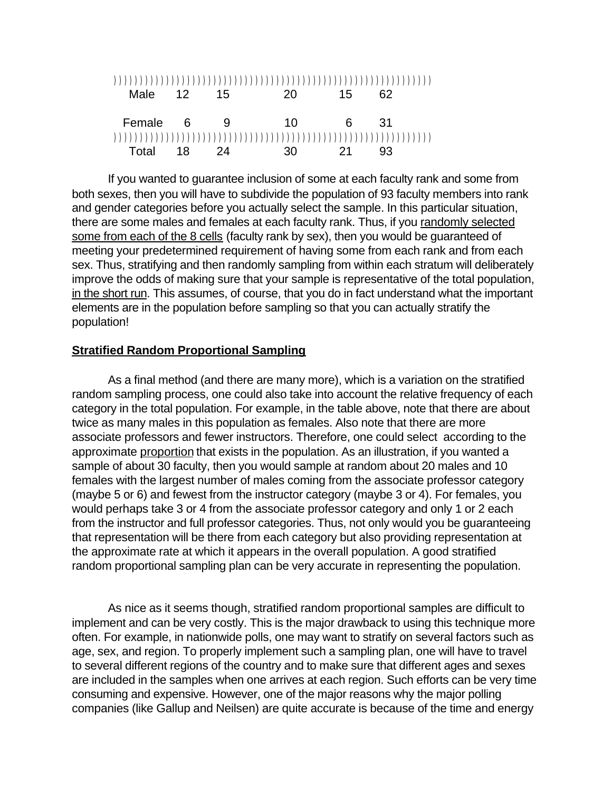| Male     | - 12 | 15 | 20. | 15  | 62  |  |
|----------|------|----|-----|-----|-----|--|
|          |      |    |     |     |     |  |
| Female 6 |      | 9  | 10  | 6   | -31 |  |
|          |      |    |     |     |     |  |
| Total    | 18   | 24 | 30  | -21 | 93  |  |

If you wanted to guarantee inclusion of some at each faculty rank and some from both sexes, then you will have to subdivide the population of 93 faculty members into rank and gender categories before you actually select the sample. In this particular situation, there are some males and females at each faculty rank. Thus, if you randomly selected some from each of the 8 cells (faculty rank by sex), then you would be guaranteed of meeting your predetermined requirement of having some from each rank and from each sex. Thus, stratifying and then randomly sampling from within each stratum will deliberately improve the odds of making sure that your sample is representative of the total population, in the short run. This assumes, of course, that you do in fact understand what the important elements are in the population before sampling so that you can actually stratify the population!

#### **Stratified Random Proportional Sampling**

As a final method (and there are many more), which is a variation on the stratified random sampling process, one could also take into account the relative frequency of each category in the total population. For example, in the table above, note that there are about twice as many males in this population as females. Also note that there are more associate professors and fewer instructors. Therefore, one could select according to the approximate proportion that exists in the population. As an illustration, if you wanted a sample of about 30 faculty, then you would sample at random about 20 males and 10 females with the largest number of males coming from the associate professor category (maybe 5 or 6) and fewest from the instructor category (maybe 3 or 4). For females, you would perhaps take 3 or 4 from the associate professor category and only 1 or 2 each from the instructor and full professor categories. Thus, not only would you be guaranteeing that representation will be there from each category but also providing representation at the approximate rate at which it appears in the overall population. A good stratified random proportional sampling plan can be very accurate in representing the population.

As nice as it seems though, stratified random proportional samples are difficult to implement and can be very costly. This is the major drawback to using this technique more often. For example, in nationwide polls, one may want to stratify on several factors such as age, sex, and region. To properly implement such a sampling plan, one will have to travel to several different regions of the country and to make sure that different ages and sexes are included in the samples when one arrives at each region. Such efforts can be very time consuming and expensive. However, one of the major reasons why the major polling companies (like Gallup and Neilsen) are quite accurate is because of the time and energy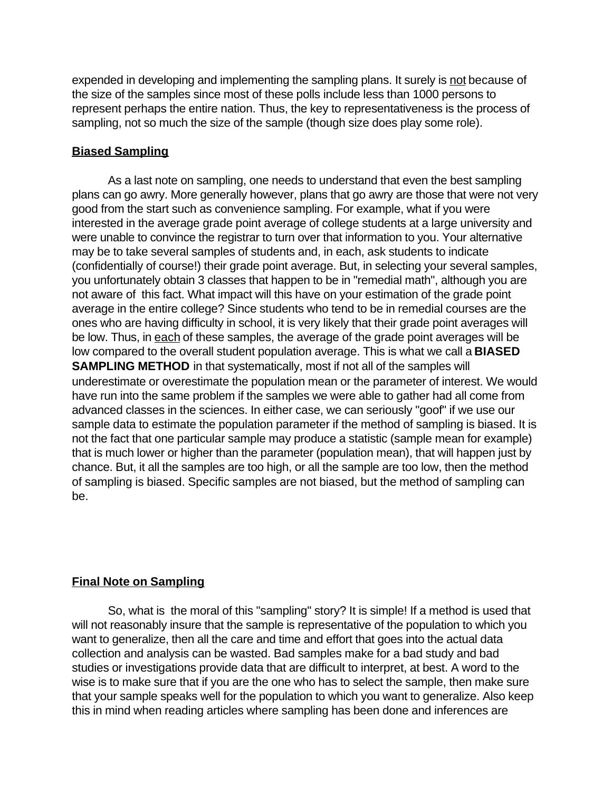expended in developing and implementing the sampling plans. It surely is not because of the size of the samples since most of these polls include less than 1000 persons to represent perhaps the entire nation. Thus, the key to representativeness is the process of sampling, not so much the size of the sample (though size does play some role).

## **Biased Sampling**

As a last note on sampling, one needs to understand that even the best sampling plans can go awry. More generally however, plans that go awry are those that were not very good from the start such as convenience sampling. For example, what if you were interested in the average grade point average of college students at a large university and were unable to convince the registrar to turn over that information to you. Your alternative may be to take several samples of students and, in each, ask students to indicate (confidentially of course!) their grade point average. But, in selecting your several samples, you unfortunately obtain 3 classes that happen to be in "remedial math", although you are not aware of this fact. What impact will this have on your estimation of the grade point average in the entire college? Since students who tend to be in remedial courses are the ones who are having difficulty in school, it is very likely that their grade point averages will be low. Thus, in each of these samples, the average of the grade point averages will be low compared to the overall student population average. This is what we call a **BIASED SAMPLING METHOD** in that systematically, most if not all of the samples will underestimate or overestimate the population mean or the parameter of interest. We would have run into the same problem if the samples we were able to gather had all come from advanced classes in the sciences. In either case, we can seriously "goof" if we use our sample data to estimate the population parameter if the method of sampling is biased. It is not the fact that one particular sample may produce a statistic (sample mean for example) that is much lower or higher than the parameter (population mean), that will happen just by chance. But, it all the samples are too high, or all the sample are too low, then the method of sampling is biased. Specific samples are not biased, but the method of sampling can be.

# **Final Note on Sampling**

So, what is the moral of this "sampling" story? It is simple! If a method is used that will not reasonably insure that the sample is representative of the population to which you want to generalize, then all the care and time and effort that goes into the actual data collection and analysis can be wasted. Bad samples make for a bad study and bad studies or investigations provide data that are difficult to interpret, at best. A word to the wise is to make sure that if you are the one who has to select the sample, then make sure that your sample speaks well for the population to which you want to generalize. Also keep this in mind when reading articles where sampling has been done and inferences are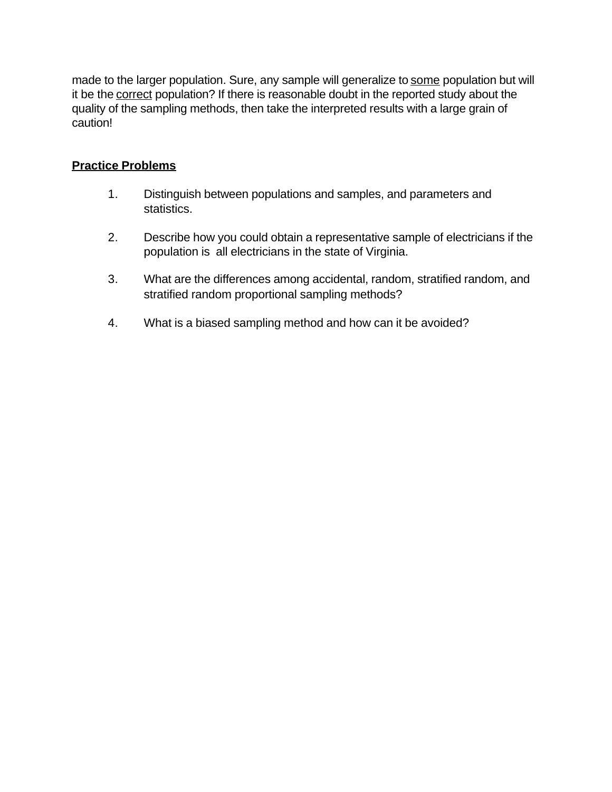made to the larger population. Sure, any sample will generalize to some population but will it be the correct population? If there is reasonable doubt in the reported study about the quality of the sampling methods, then take the interpreted results with a large grain of caution!

# **Practice Problems**

- 1. Distinguish between populations and samples, and parameters and statistics.
- 2. Describe how you could obtain a representative sample of electricians if the population is all electricians in the state of Virginia.
- 3. What are the differences among accidental, random, stratified random, and stratified random proportional sampling methods?
- 4. What is a biased sampling method and how can it be avoided?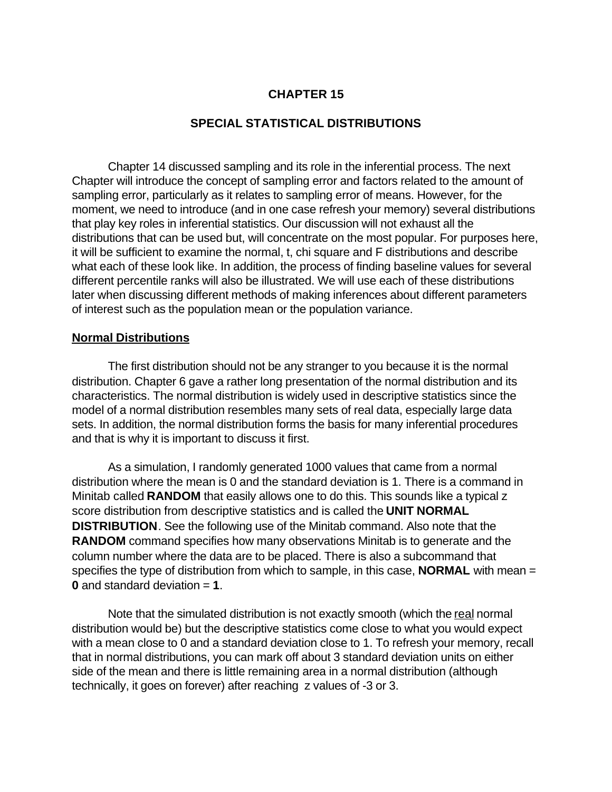## **CHAPTER 15**

### **SPECIAL STATISTICAL DISTRIBUTIONS**

Chapter 14 discussed sampling and its role in the inferential process. The next Chapter will introduce the concept of sampling error and factors related to the amount of sampling error, particularly as it relates to sampling error of means. However, for the moment, we need to introduce (and in one case refresh your memory) several distributions that play key roles in inferential statistics. Our discussion will not exhaust all the distributions that can be used but, will concentrate on the most popular. For purposes here, it will be sufficient to examine the normal, t, chi square and F distributions and describe what each of these look like. In addition, the process of finding baseline values for several different percentile ranks will also be illustrated. We will use each of these distributions later when discussing different methods of making inferences about different parameters of interest such as the population mean or the population variance.

#### **Normal Distributions**

The first distribution should not be any stranger to you because it is the normal distribution. Chapter 6 gave a rather long presentation of the normal distribution and its characteristics. The normal distribution is widely used in descriptive statistics since the model of a normal distribution resembles many sets of real data, especially large data sets. In addition, the normal distribution forms the basis for many inferential procedures and that is why it is important to discuss it first.

As a simulation, I randomly generated 1000 values that came from a normal distribution where the mean is 0 and the standard deviation is 1. There is a command in Minitab called **RANDOM** that easily allows one to do this. This sounds like a typical z score distribution from descriptive statistics and is called the **UNIT NORMAL DISTRIBUTION**. See the following use of the Minitab command. Also note that the **RANDOM** command specifies how many observations Minitab is to generate and the column number where the data are to be placed. There is also a subcommand that specifies the type of distribution from which to sample, in this case, **NORMAL** with mean = **0** and standard deviation = **1**.

Note that the simulated distribution is not exactly smooth (which the real normal distribution would be) but the descriptive statistics come close to what you would expect with a mean close to 0 and a standard deviation close to 1. To refresh your memory, recall that in normal distributions, you can mark off about 3 standard deviation units on either side of the mean and there is little remaining area in a normal distribution (although technically, it goes on forever) after reaching z values of -3 or 3.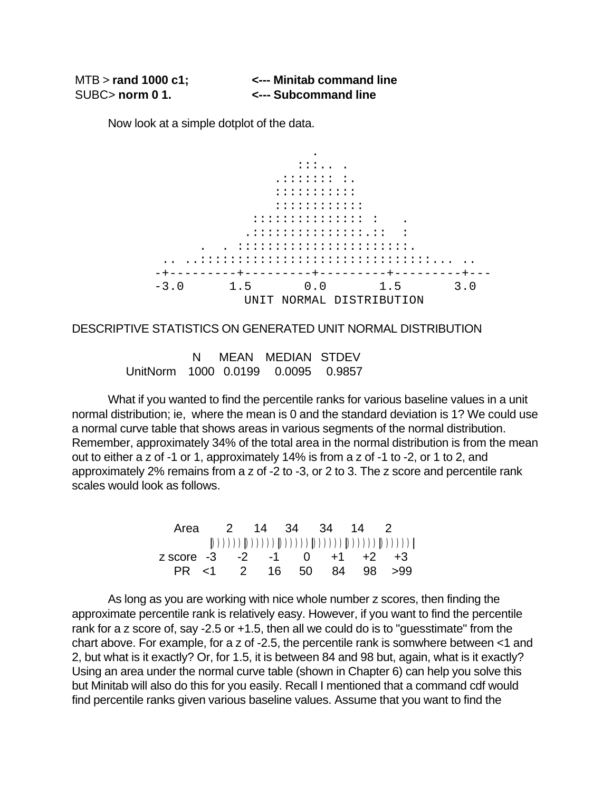| $MTB >$ rand 1000 c1; | <--- Minitab command line |
|-----------------------|---------------------------|
| SUBC>norm 01.         | <--- Subcommand line      |

Now look at a simple dotplot of the data.



DESCRIPTIVE STATISTICS ON GENERATED UNIT NORMAL DISTRIBUTION

 N MEAN MEDIAN STDEV UnitNorm 1000 0.0199 0.0095 0.9857

What if you wanted to find the percentile ranks for various baseline values in a unit normal distribution; ie, where the mean is 0 and the standard deviation is 1? We could use a normal curve table that shows areas in various segments of the normal distribution. Remember, approximately 34% of the total area in the normal distribution is from the mean out to either a z of -1 or 1, approximately 14% is from a z of -1 to -2, or 1 to 2, and approximately 2% remains from a z of -2 to -3, or 2 to 3. The z score and percentile rank scales would look as follows.

|                                         |  |  | Area 2 14 34 34 14 2     |  |
|-----------------------------------------|--|--|--------------------------|--|
|                                         |  |  |                          |  |
| z score $-3$ $-2$ $-1$ 0 $+1$ $+2$ $+3$ |  |  |                          |  |
|                                         |  |  | PR <1 2 16 50 84 98 > 99 |  |

As long as you are working with nice whole number z scores, then finding the approximate percentile rank is relatively easy. However, if you want to find the percentile rank for a z score of, say -2.5 or +1.5, then all we could do is to "guesstimate" from the chart above. For example, for a z of -2.5, the percentile rank is somwhere between <1 and 2, but what is it exactly? Or, for 1.5, it is between 84 and 98 but, again, what is it exactly? Using an area under the normal curve table (shown in Chapter 6) can help you solve this but Minitab will also do this for you easily. Recall I mentioned that a command cdf would find percentile ranks given various baseline values. Assume that you want to find the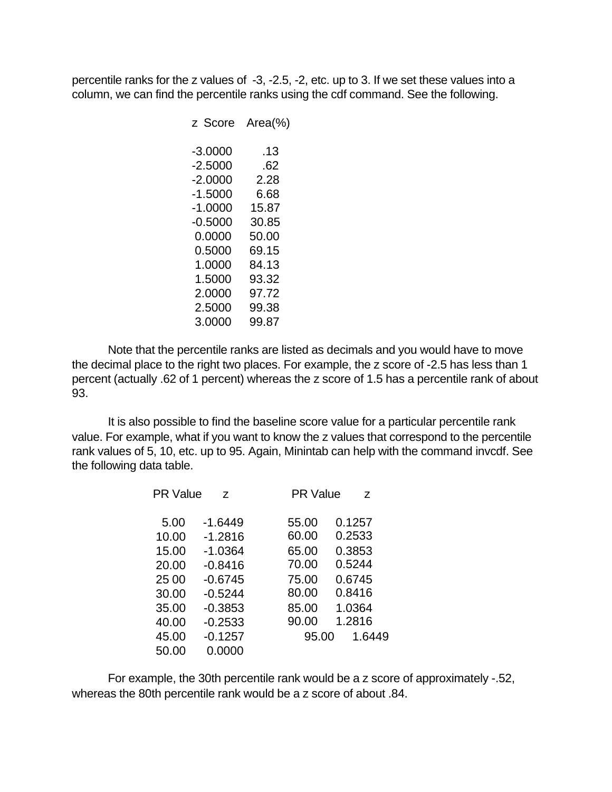percentile ranks for the z values of -3, -2.5, -2, etc. up to 3. If we set these values into a column, we can find the percentile ranks using the cdf command. See the following.

| z Score   | Area(%) |
|-----------|---------|
| $-3.0000$ | .13     |
| $-2.5000$ | .62     |
| $-2.0000$ | 2.28    |
| $-1.5000$ | 6.68    |
| -1.0000   | 15.87   |
| $-0.5000$ | 30.85   |
| 0.0000    | 50.00   |
| 0.5000    | 69.15   |
| 1.0000    | 84.13   |
| 1.5000    | 93.32   |
| 2.0000    | 97.72   |
| 2.5000    | 99.38   |
| 3.0000    | 99.87   |
|           |         |

Note that the percentile ranks are listed as decimals and you would have to move the decimal place to the right two places. For example, the z score of -2.5 has less than 1 percent (actually .62 of 1 percent) whereas the z score of 1.5 has a percentile rank of about 93.

It is also possible to find the baseline score value for a particular percentile rank value. For example, what if you want to know the z values that correspond to the percentile rank values of 5, 10, etc. up to 95. Again, Minintab can help with the command invcdf. See the following data table.

| <b>PR Value</b> | Z         | <b>PR Value</b> | Z      |
|-----------------|-----------|-----------------|--------|
| 5.00            | $-1.6449$ | 55.00           | 0.1257 |
| 10.00           | $-1.2816$ | 60.00           | 0.2533 |
| 15.00           | $-1.0364$ | 65.00           | 0.3853 |
| 20.00           | $-0.8416$ | 70.00           | 0.5244 |
| 25 00           | $-0.6745$ | 75.00           | 0.6745 |
| 30.00           | $-0.5244$ | 80.00           | 0.8416 |
| 35.00           | $-0.3853$ | 85.00           | 1.0364 |
| 40.00           | $-0.2533$ | 90.00           | 1.2816 |
| 45.00           | $-0.1257$ | 95.00           | 1.6449 |
| 50.00           | 0.0000    |                 |        |

For example, the 30th percentile rank would be a z score of approximately -.52, whereas the 80th percentile rank would be a z score of about .84.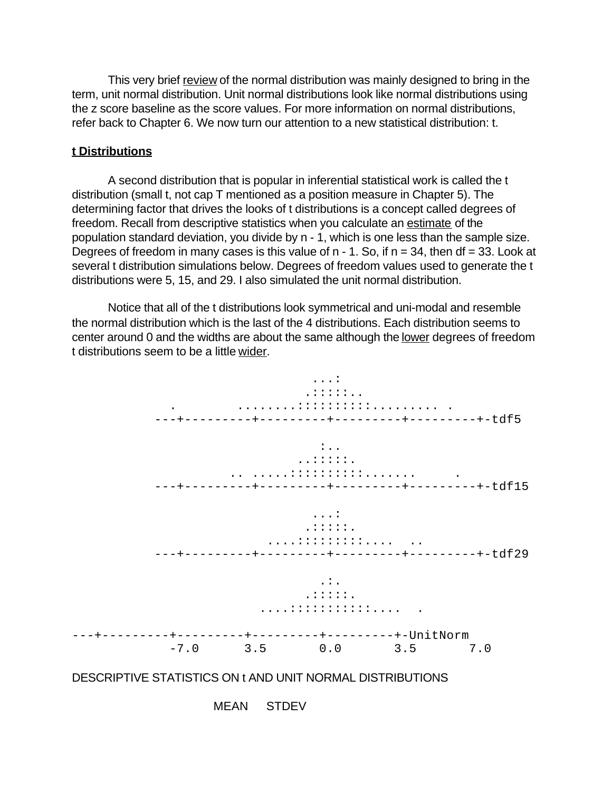This very brief review of the normal distribution was mainly designed to bring in the term, unit normal distribution. Unit normal distributions look like normal distributions using the z score baseline as the score values. For more information on normal distributions, refer back to Chapter 6. We now turn our attention to a new statistical distribution: t.

#### **t Distributions**

A second distribution that is popular in inferential statistical work is called the t distribution (small t, not cap T mentioned as a position measure in Chapter 5). The determining factor that drives the looks of t distributions is a concept called degrees of freedom. Recall from descriptive statistics when you calculate an estimate of the population standard deviation, you divide by n - 1, which is one less than the sample size. Degrees of freedom in many cases is this value of  $n - 1$ . So, if  $n = 34$ , then df = 33. Look at several t distribution simulations below. Degrees of freedom values used to generate the t distributions were 5, 15, and 29. I also simulated the unit normal distribution.

Notice that all of the t distributions look symmetrical and uni-modal and resemble the normal distribution which is the last of the 4 distributions. Each distribution seems to center around 0 and the widths are about the same although the lower degrees of freedom t distributions seem to be a little wider.



## DESCRIPTIVE STATISTICS ON t AND UNIT NORMAL DISTRIBUTIONS

MEAN STDEV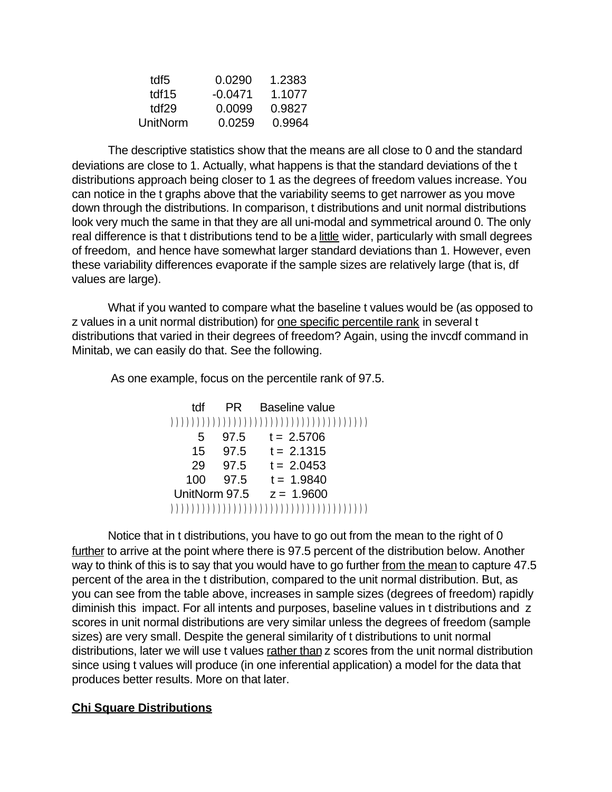| tdf5     | 0.0290    | 1.2383 |
|----------|-----------|--------|
| tdf15    | $-0.0471$ | 1.1077 |
| tdf29    | 0.0099    | 0.9827 |
| UnitNorm | 0.0259    | 0.9964 |

The descriptive statistics show that the means are all close to 0 and the standard deviations are close to 1. Actually, what happens is that the standard deviations of the t distributions approach being closer to 1 as the degrees of freedom values increase. You can notice in the t graphs above that the variability seems to get narrower as you move down through the distributions. In comparison, t distributions and unit normal distributions look very much the same in that they are all uni-modal and symmetrical around 0. The only real difference is that t distributions tend to be a little wider, particularly with small degrees of freedom, and hence have somewhat larger standard deviations than 1. However, even these variability differences evaporate if the sample sizes are relatively large (that is, df values are large).

What if you wanted to compare what the baseline t values would be (as opposed to z values in a unit normal distribution) for one specific percentile rank in several t distributions that varied in their degrees of freedom? Again, using the invcdf command in Minitab, we can easily do that. See the following.

As one example, focus on the percentile rank of 97.5.

| tdf |      | PR Baseline value            |
|-----|------|------------------------------|
|     |      |                              |
| 5   |      | $97.5$ t = 2.5706            |
| 15  |      | $97.5$ t = 2.1315            |
| 29  | 97.5 | $t = 2.0453$                 |
| 100 |      | $97.5$ t = 1.9840            |
|     |      | UnitNorm $97.5$ $z = 1.9600$ |
|     |      |                              |

Notice that in t distributions, you have to go out from the mean to the right of 0 further to arrive at the point where there is 97.5 percent of the distribution below. Another way to think of this is to say that you would have to go further from the mean to capture 47.5 percent of the area in the t distribution, compared to the unit normal distribution. But, as you can see from the table above, increases in sample sizes (degrees of freedom) rapidly diminish this impact. For all intents and purposes, baseline values in t distributions and z scores in unit normal distributions are very similar unless the degrees of freedom (sample sizes) are very small. Despite the general similarity of t distributions to unit normal distributions, later we will use t values rather than z scores from the unit normal distribution since using t values will produce (in one inferential application) a model for the data that produces better results. More on that later.

# **Chi Square Distributions**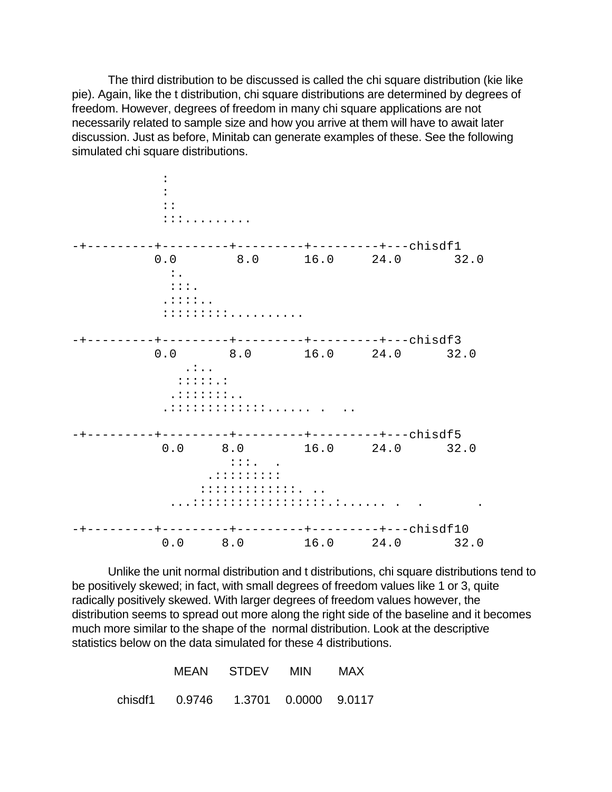The third distribution to be discussed is called the chi square distribution (kie like pie). Again, like the t distribution, chi square distributions are determined by degrees of freedom. However, degrees of freedom in many chi square applications are not necessarily related to sample size and how you arrive at them will have to await later discussion. Just as before, Minitab can generate examples of these. See the following simulated chi square distributions.

 : : :: :::......... -+---------+---------+---------+---------+---chisdf1 0.0 8.0 16.0 24.0 32.0  $\cdot$  :  $\cdot$  $::::$  .::::.. :::::::::.......... -+---------+---------+---------+---------+---chisdf3 0.0 8.0 16.0 24.0 32.0 .:.. :::::.: .:::::::.. .:::::::::::::...... . .. -+---------+---------+---------+---------+---chisdf5 0.0 8.0 16.0 24.0 32.0  $:$ ::: $.$ ........... :::::::::::::. .. ...::::::::::::::::::.:...... . . . -+---------+---------+---------+---------+---chisdf10 0.0 8.0 16.0 24.0 32.0

Unlike the unit normal distribution and t distributions, chi square distributions tend to be positively skewed; in fact, with small degrees of freedom values like 1 or 3, quite radically positively skewed. With larger degrees of freedom values however, the distribution seems to spread out more along the right side of the baseline and it becomes much more similar to the shape of the normal distribution. Look at the descriptive statistics below on the data simulated for these 4 distributions.

|  |                                     | MEAN STDEV MIN | MAX |
|--|-------------------------------------|----------------|-----|
|  | chisdf1 0.9746 1.3701 0.0000 9.0117 |                |     |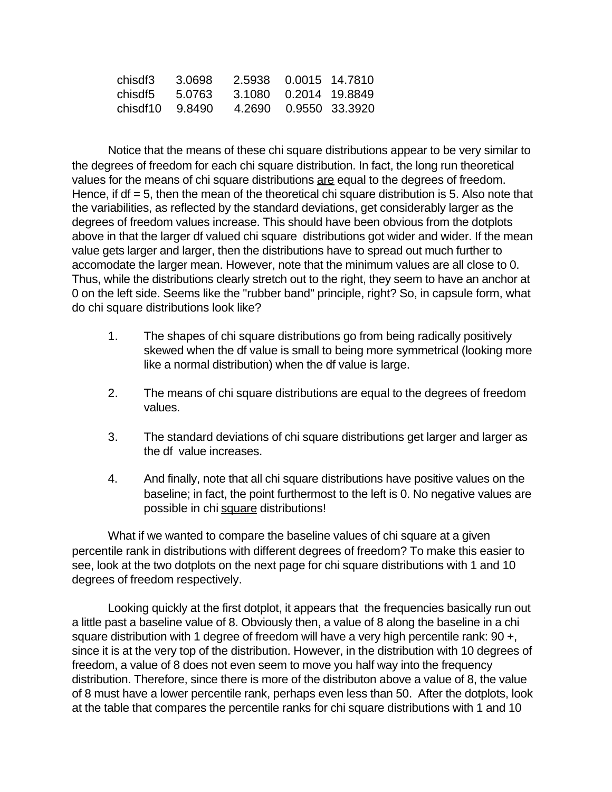|  | chisdf3 3.0698 2.5938 0.0015 14.7810  |  |
|--|---------------------------------------|--|
|  | chisdf5 5.0763 3.1080 0.2014 19.8849  |  |
|  | chisdf10 9.8490 4.2690 0.9550 33.3920 |  |

Notice that the means of these chi square distributions appear to be very similar to the degrees of freedom for each chi square distribution. In fact, the long run theoretical values for the means of chi square distributions are equal to the degrees of freedom. Hence, if  $df = 5$ , then the mean of the theoretical chi square distribution is 5. Also note that the variabilities, as reflected by the standard deviations, get considerably larger as the degrees of freedom values increase. This should have been obvious from the dotplots above in that the larger df valued chi square distributions got wider and wider. If the mean value gets larger and larger, then the distributions have to spread out much further to accomodate the larger mean. However, note that the minimum values are all close to 0. Thus, while the distributions clearly stretch out to the right, they seem to have an anchor at 0 on the left side. Seems like the "rubber band" principle, right? So, in capsule form, what do chi square distributions look like?

- 1. The shapes of chi square distributions go from being radically positively skewed when the df value is small to being more symmetrical (looking more like a normal distribution) when the df value is large.
- 2. The means of chi square distributions are equal to the degrees of freedom values.
- 3. The standard deviations of chi square distributions get larger and larger as the df value increases.
- 4. And finally, note that all chi square distributions have positive values on the baseline; in fact, the point furthermost to the left is 0. No negative values are possible in chi square distributions!

What if we wanted to compare the baseline values of chi square at a given percentile rank in distributions with different degrees of freedom? To make this easier to see, look at the two dotplots on the next page for chi square distributions with 1 and 10 degrees of freedom respectively.

Looking quickly at the first dotplot, it appears that the frequencies basically run out a little past a baseline value of 8. Obviously then, a value of 8 along the baseline in a chi square distribution with 1 degree of freedom will have a very high percentile rank: 90 +, since it is at the very top of the distribution. However, in the distribution with 10 degrees of freedom, a value of 8 does not even seem to move you half way into the frequency distribution. Therefore, since there is more of the distributon above a value of 8, the value of 8 must have a lower percentile rank, perhaps even less than 50. After the dotplots, look at the table that compares the percentile ranks for chi square distributions with 1 and 10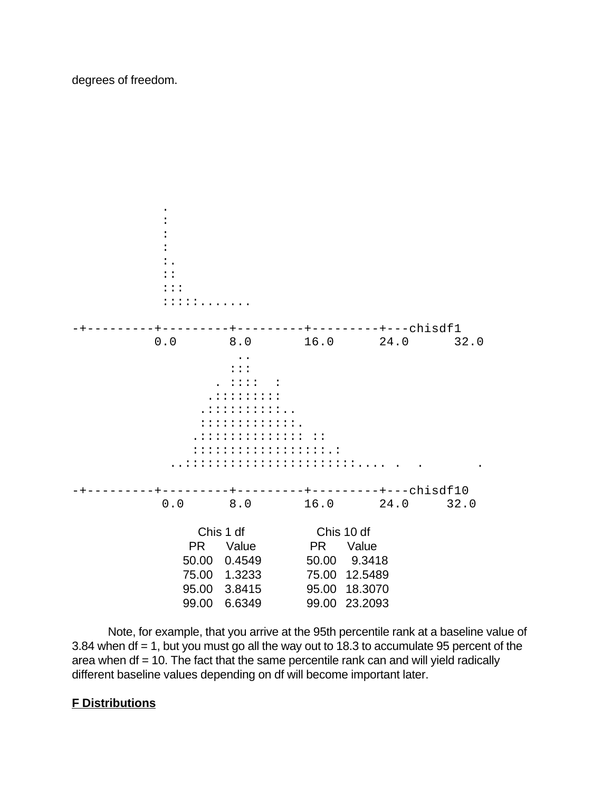### degrees of freedom.



Note, for example, that you arrive at the 95th percentile rank at a baseline value of 3.84 when df = 1, but you must go all the way out to 18.3 to accumulate 95 percent of the area when  $df = 10$ . The fact that the same percentile rank can and will yield radically different baseline values depending on df will become important later.

# **F Distributions**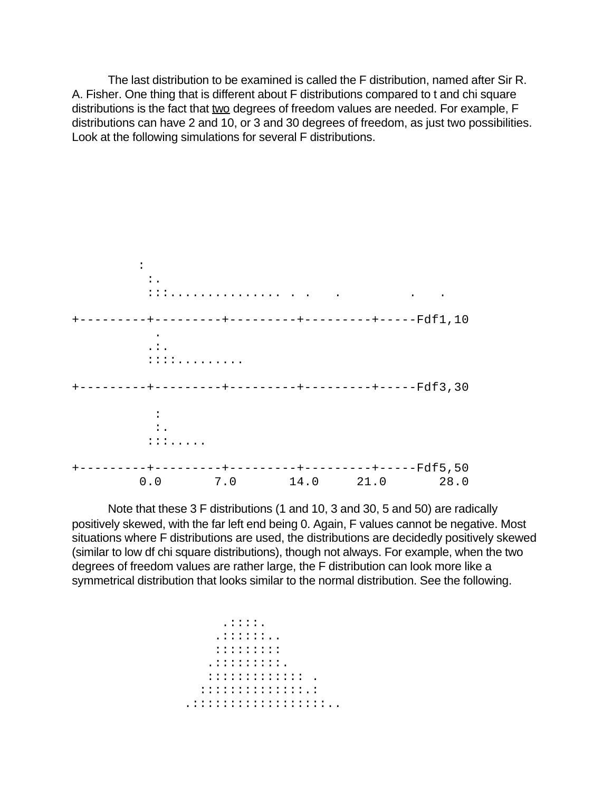The last distribution to be examined is called the F distribution, named after Sir R. A. Fisher. One thing that is different about F distributions compared to t and chi square distributions is the fact that two degrees of freedom values are needed. For example, F distributions can have 2 and 10, or 3 and 30 degrees of freedom, as just two possibilities. Look at the following simulations for several F distributions.

 : :. :::............... . . . . . +---------+---------+---------+---------+-----Fdf1,10 . .:. ::::......... +---------+---------+---------+---------+-----Fdf3,30 :  $\cdot$  :  $\cdot$  :::..... +---------+---------+---------+---------+-----Fdf5,50 0.0 7.0 14.0 21.0 28.0

Note that these 3 F distributions (1 and 10, 3 and 30, 5 and 50) are radically positively skewed, with the far left end being 0. Again, F values cannot be negative. Most situations where F distributions are used, the distributions are decidedly positively skewed (similar to low df chi square distributions), though not always. For example, when the two degrees of freedom values are rather large, the F distribution can look more like a symmetrical distribution that looks similar to the normal distribution. See the following.

```
 .::::.
    .::::::..
    :::::::::
   .:::::::::.
   ::::::::::::: .
  ::::::::::::::.:
.::::::::::::::::::..
```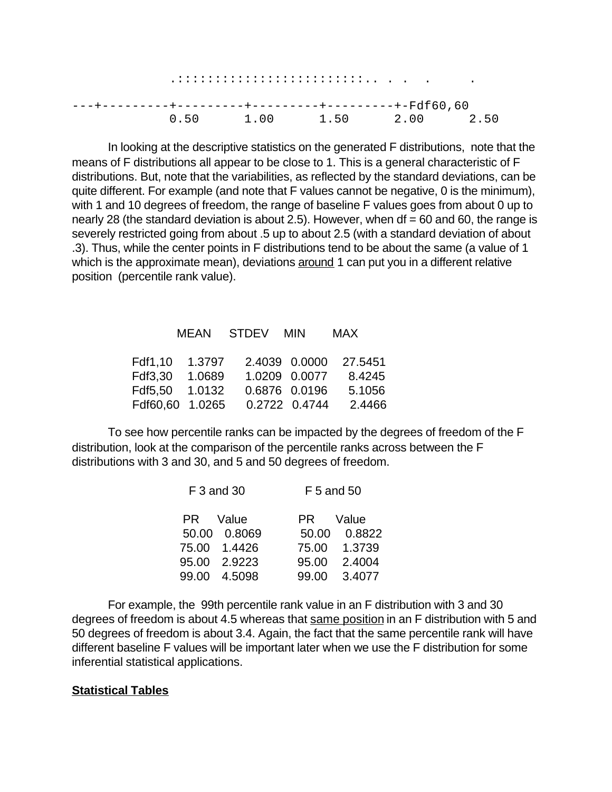| 0.50 |  |  |  |  | 1.00 |  |  |  |  |  |  |  |  |  | 1.50 2.00 |  |  | 250 |  |
|------|--|--|--|--|------|--|--|--|--|--|--|--|--|--|-----------|--|--|-----|--|

In looking at the descriptive statistics on the generated F distributions, note that the means of F distributions all appear to be close to 1. This is a general characteristic of F distributions. But, note that the variabilities, as reflected by the standard deviations, can be quite different. For example (and note that F values cannot be negative, 0 is the minimum), with 1 and 10 degrees of freedom, the range of baseline F values goes from about 0 up to nearly 28 (the standard deviation is about 2.5). However, when  $df = 60$  and 60, the range is severely restricted going from about .5 up to about 2.5 (with a standard deviation of about .3). Thus, while the center points in F distributions tend to be about the same (a value of 1 which is the approximate mean), deviations around 1 can put you in a different relative position (percentile rank value).

# MEAN STDEV MIN MAX

| Fdf1.10 1.3797                  |  | 2.4039 0.0000 27.5451 |
|---------------------------------|--|-----------------------|
| Fdf3,30 1.0689                  |  | 1.0209 0.0077 8.4245  |
| Fdf5.50  1.0132  0.6876  0.0196 |  | 5.1056                |
| Fdf60,60 1.0265 0.2722 0.4744   |  | 2.4466                |

To see how percentile ranks can be impacted by the degrees of freedom of the F distribution, look at the comparison of the percentile ranks across between the F distributions with 3 and 30, and 5 and 50 degrees of freedom.

| F 3 and 30      | F 5 and 50      |
|-----------------|-----------------|
| Value<br>PR —   | Value<br>PR -   |
| 50.00 0.8069    | 0.8822<br>50.00 |
| 75.00 1.4426    | 75.00 1.3739    |
| 95.00 2.9223    | 2.4004<br>95.00 |
| 4.5098<br>99.00 | 3.4077<br>99.00 |

For example, the 99th percentile rank value in an F distribution with 3 and 30 degrees of freedom is about 4.5 whereas that same position in an F distribution with 5 and 50 degrees of freedom is about 3.4. Again, the fact that the same percentile rank will have different baseline F values will be important later when we use the F distribution for some inferential statistical applications.

#### **Statistical Tables**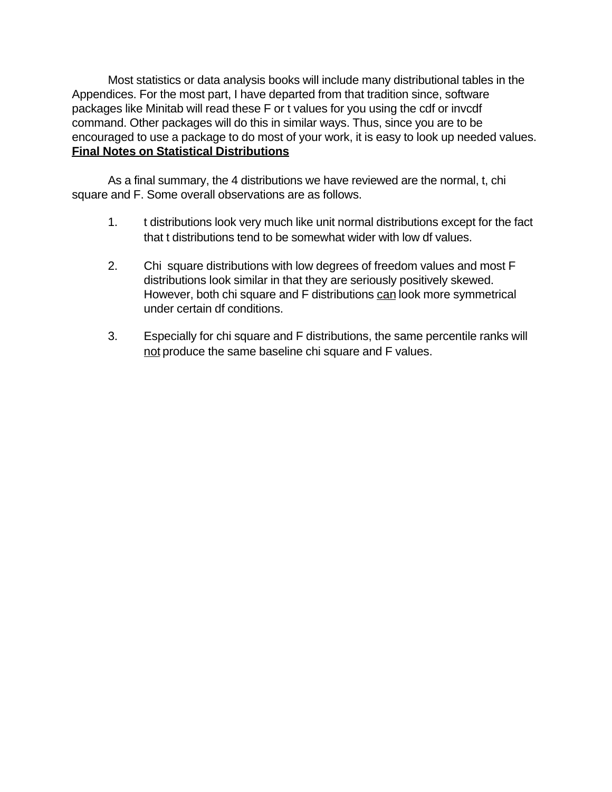Most statistics or data analysis books will include many distributional tables in the Appendices. For the most part, I have departed from that tradition since, software packages like Minitab will read these F or t values for you using the cdf or invcdf command. Other packages will do this in similar ways. Thus, since you are to be encouraged to use a package to do most of your work, it is easy to look up needed values. **Final Notes on Statistical Distributions**

As a final summary, the 4 distributions we have reviewed are the normal, t, chi square and F. Some overall observations are as follows.

- 1. t distributions look very much like unit normal distributions except for the fact that t distributions tend to be somewhat wider with low df values.
- 2. Chi square distributions with low degrees of freedom values and most F distributions look similar in that they are seriously positively skewed. However, both chi square and F distributions can look more symmetrical under certain df conditions.
- 3. Especially for chi square and F distributions, the same percentile ranks will not produce the same baseline chi square and F values.